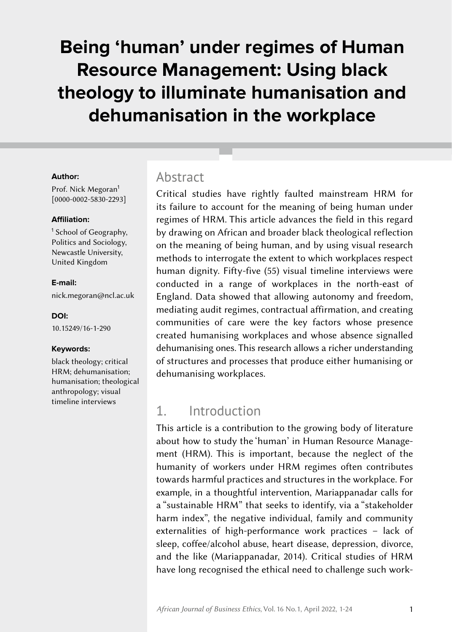# **Being 'human' under regimes of Human Resource Management: Using black theology to illuminate humanisation and dehumanisation in the workplace**

#### **Author:**

Prof. Nick Megoran<sup>1</sup> [[0000-0002-5830-2293](https://orcid.org/0000-0002-5830-2293)]

#### **Affiliation:**

<sup>1</sup> School of Geography, Politics and Sociology, Newcastle University, United Kingdom

#### **E-mail:**

nick.megoran@ncl.ac.uk

#### **DOI:**

[10.15249/16-1-290](https://doi.org/10.15249/16-1-290)

#### **Keywords:**

black theology; critical HRM; dehumanisation; humanisation; theological anthropology; visual timeline interviews

### Abstract

Critical studies have rightly faulted mainstream HRM for its failure to account for the meaning of being human under regimes of HRM. This article advances the field in this regard by drawing on African and broader black theological reflection on the meaning of being human, and by using visual research methods to interrogate the extent to which workplaces respect human dignity. Fifty-five (55) visual timeline interviews were conducted in a range of workplaces in the north-east of England. Data showed that allowing autonomy and freedom, mediating audit regimes, contractual affirmation, and creating communities of care were the key factors whose presence created humanising workplaces and whose absence signalled dehumanising ones. This research allows a richer understanding of structures and processes that produce either humanising or dehumanising workplaces.

# 1. Introduction

This article is a contribution to the growing body of literature about how to study the 'human' in Human Resource Management (HRM). This is important, because the neglect of the humanity of workers under HRM regimes often contributes towards harmful practices and structures in the workplace. For example, in a thoughtful intervention, Mariappanadar calls for a "sustainable HRM" that seeks to identify, via a "stakeholder harm index", the negative individual, family and community externalities of high-performance work practices – lack of sleep, coffee/alcohol abuse, heart disease, depression, divorce, and the like (Mariappanadar, 2014). Critical studies of HRM have long recognised the ethical need to challenge such work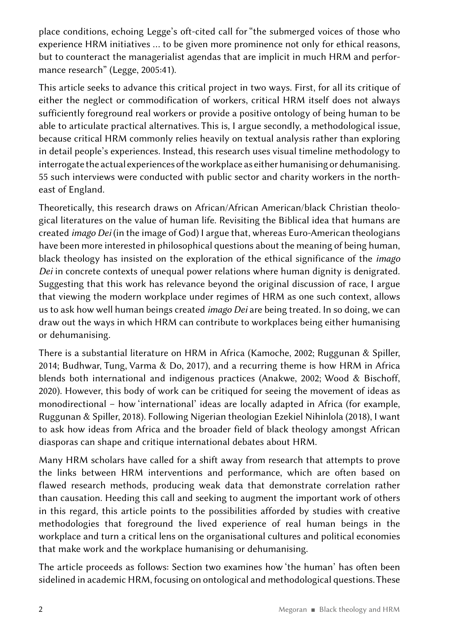place conditions, echoing Legge's oft-cited call for "the submerged voices of those who experience HRM initiatives … to be given more prominence not only for ethical reasons, but to counteract the managerialist agendas that are implicit in much HRM and performance research" (Legge, 2005:41).

This article seeks to advance this critical project in two ways. First, for all its critique of either the neglect or commodification of workers, critical HRM itself does not always sufficiently foreground real workers or provide a positive ontology of being human to be able to articulate practical alternatives. This is, I argue secondly, a methodological issue, because critical HRM commonly relies heavily on textual analysis rather than exploring in detail people's experiences. Instead, this research uses visual timeline methodology to interrogate the actual experiences of the workplace as either humanising or dehumanising. 55 such interviews were conducted with public sector and charity workers in the northeast of England.

Theoretically, this research draws on African/African American/black Christian theological literatures on the value of human life. Revisiting the Biblical idea that humans are created *imago Dei* (in the image of God) I argue that, whereas Euro-American theologians have been more interested in philosophical questions about the meaning of being human, black theology has insisted on the exploration of the ethical significance of the *imago Dei* in concrete contexts of unequal power relations where human dignity is denigrated. Suggesting that this work has relevance beyond the original discussion of race, I argue that viewing the modern workplace under regimes of HRM as one such context, allows us to ask how well human beings created *imago Dei* are being treated. In so doing, we can draw out the ways in which HRM can contribute to workplaces being either humanising or dehumanising.

There is a substantial literature on HRM in Africa (Kamoche, 2002; Ruggunan & Spiller, 2014; Budhwar, Tung, Varma & Do, 2017), and a recurring theme is how HRM in Africa blends both international and indigenous practices (Anakwe, 2002; Wood & Bischoff, 2020). However, this body of work can be critiqued for seeing the movement of ideas as monodirectional – how 'international' ideas are locally adapted in Africa (for example, Ruggunan & Spiller, 2018). Following Nigerian theologian Ezekiel Nihinlola (2018), I want to ask how ideas from Africa and the broader field of black theology amongst African diasporas can shape and critique international debates about HRM.

Many HRM scholars have called for a shift away from research that attempts to prove the links between HRM interventions and performance, which are often based on flawed research methods, producing weak data that demonstrate correlation rather than causation. Heeding this call and seeking to augment the important work of others in this regard, this article points to the possibilities afforded by studies with creative methodologies that foreground the lived experience of real human beings in the workplace and turn a critical lens on the organisational cultures and political economies that make work and the workplace humanising or dehumanising.

The article proceeds as follows: Section two examines how 'the human' has often been sidelined in academic HRM, focusing on ontological and methodological questions. These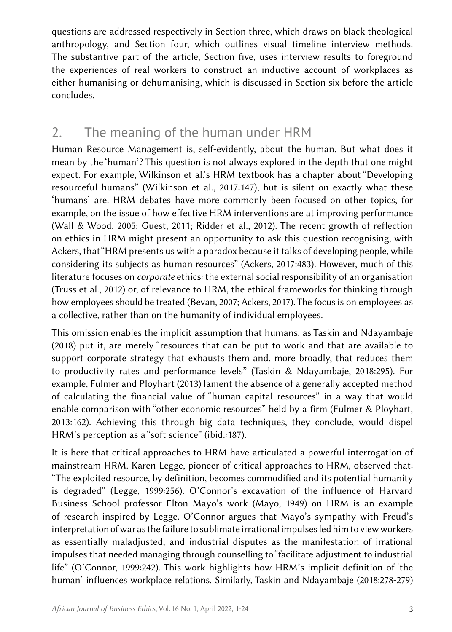questions are addressed respectively in Section three, which draws on black theological anthropology, and Section four, which outlines visual timeline interview methods. The substantive part of the article, Section five, uses interview results to foreground the experiences of real workers to construct an inductive account of workplaces as either humanising or dehumanising, which is discussed in Section six before the article concludes.

# 2. The meaning of the human under HRM

Human Resource Management is, self-evidently, about the human. But what does it mean by the 'human'? This question is not always explored in the depth that one might expect. For example, Wilkinson et al.'s HRM textbook has a chapter about "Developing resourceful humans" (Wilkinson et al., 2017:147), but is silent on exactly what these 'humans' are. HRM debates have more commonly been focused on other topics, for example, on the issue of how effective HRM interventions are at improving performance (Wall & Wood, 2005; Guest, 2011; Ridder et al., 2012). The recent growth of reflection on ethics in HRM might present an opportunity to ask this question recognising, with Ackers, that "HRM presents us with a paradox because it talks of developing people, while considering its subjects as human resources" (Ackers, 2017:483). However, much of this literature focuses on *corporate* ethics: the external social responsibility of an organisation (Truss et al., 2012) or, of relevance to HRM, the ethical frameworks for thinking through how employees should be treated (Bevan, 2007; Ackers, 2017). The focus is on employees as a collective, rather than on the humanity of individual employees.

This omission enables the implicit assumption that humans, as Taskin and Ndayambaje (2018) put it, are merely "resources that can be put to work and that are available to support corporate strategy that exhausts them and, more broadly, that reduces them to productivity rates and performance levels" (Taskin & Ndayambaje, 2018:295). For example, Fulmer and Ployhart (2013) lament the absence of a generally accepted method of calculating the financial value of "human capital resources" in a way that would enable comparison with "other economic resources" held by a firm (Fulmer & Ployhart, 2013:162). Achieving this through big data techniques, they conclude, would dispel HRM's perception as a "soft science" (ibid.:187).

It is here that critical approaches to HRM have articulated a powerful interrogation of mainstream HRM. Karen Legge, pioneer of critical approaches to HRM, observed that: "The exploited resource, by definition, becomes commodified and its potential humanity is degraded" (Legge, 1999:256). O'Connor's excavation of the influence of Harvard Business School professor Elton Mayo's work (Mayo, 1949) on HRM is an example of research inspired by Legge. O'Connor argues that Mayo's sympathy with Freud's interpretation of war as the failure to sublimate irrational impulses led him to view workers as essentially maladjusted, and industrial disputes as the manifestation of irrational impulses that needed managing through counselling to "facilitate adjustment to industrial life" (O'Connor, 1999:242). This work highlights how HRM's implicit definition of 'the human' influences workplace relations. Similarly, Taskin and Ndayambaje (2018:278-279)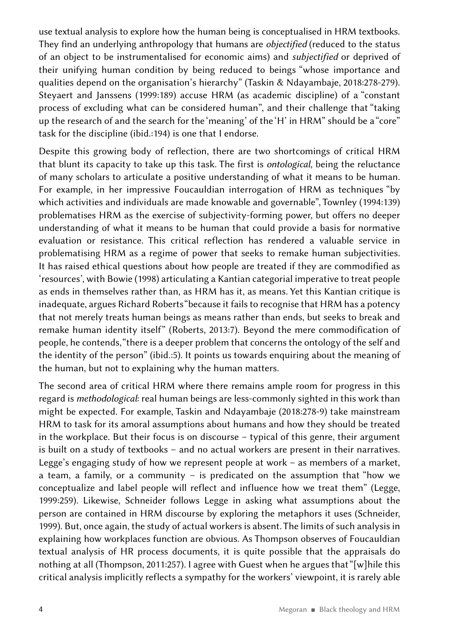use textual analysis to explore how the human being is conceptualised in HRM textbooks. They find an underlying anthropology that humans are *objectified* (reduced to the status of an object to be instrumentalised for economic aims) and *subjectified* or deprived of their unifying human condition by being reduced to beings "whose importance and qualities depend on the organisation's hierarchy" (Taskin & Ndayambaje, 2018:278-279). Steyaert and Janssens (1999:189) accuse HRM (as academic discipline) of a "constant process of excluding what can be considered human", and their challenge that "taking up the research of and the search for the 'meaning' of the 'H' in HRM" should be a "core" task for the discipline (ibid.:194) is one that I endorse.

Despite this growing body of reflection, there are two shortcomings of critical HRM that blunt its capacity to take up this task. The first is *ontological*, being the reluctance of many scholars to articulate a positive understanding of what it means to be human. For example, in her impressive Foucauldian interrogation of HRM as techniques "by which activities and individuals are made knowable and governable", Townley (1994:139) problematises HRM as the exercise of subjectivity-forming power, but offers no deeper understanding of what it means to be human that could provide a basis for normative evaluation or resistance. This critical reflection has rendered a valuable service in problematising HRM as a regime of power that seeks to remake human subjectivities. It has raised ethical questions about how people are treated if they are commodified as 'resources', with Bowie (1998) articulating a Kantian categorial imperative to treat people as ends in themselves rather than, as HRM has it, as means. Yet this Kantian critique is inadequate, argues Richard Roberts "because it fails to recognise that HRM has a potency that not merely treats human beings as means rather than ends, but seeks to break and remake human identity itself" (Roberts, 2013:7). Beyond the mere commodification of people, he contends, "there is a deeper problem that concerns the ontology of the self and the identity of the person" (ibid.:5). It points us towards enquiring about the meaning of the human, but not to explaining why the human matters.

The second area of critical HRM where there remains ample room for progress in this regard is *methodological*: real human beings are less-commonly sighted in this work than might be expected. For example, Taskin and Ndayambaje (2018:278-9) take mainstream HRM to task for its amoral assumptions about humans and how they should be treated in the workplace. But their focus is on discourse – typical of this genre, their argument is built on a study of textbooks – and no actual workers are present in their narratives. Legge's engaging study of how we represent people at work – as members of a market, a team, a family, or a community – is predicated on the assumption that "how we conceptualize and label people will reflect and influence how we treat them" (Legge, 1999:259). Likewise, Schneider follows Legge in asking what assumptions about the person are contained in HRM discourse by exploring the metaphors it uses (Schneider, 1999). But, once again, the study of actual workers is absent. The limits of such analysis in explaining how workplaces function are obvious. As Thompson observes of Foucauldian textual analysis of HR process documents, it is quite possible that the appraisals do nothing at all (Thompson, 2011:257). I agree with Guest when he argues that "[w]hile this critical analysis implicitly reflects a sympathy for the workers' viewpoint, it is rarely able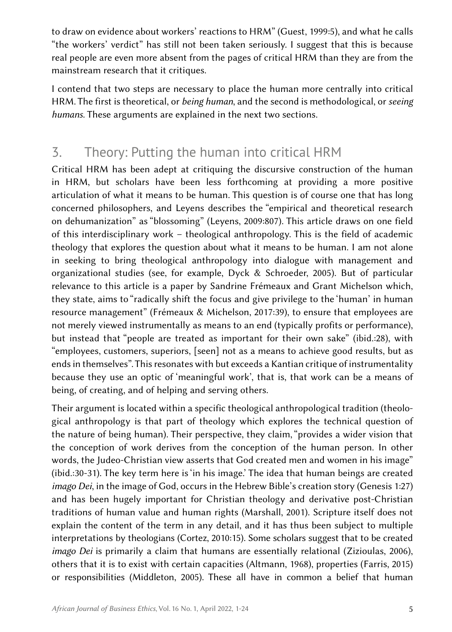to draw on evidence about workers' reactions to HRM" (Guest, 1999:5), and what he calls "the workers' verdict" has still not been taken seriously. I suggest that this is because real people are even more absent from the pages of critical HRM than they are from the mainstream research that it critiques.

I contend that two steps are necessary to place the human more centrally into critical HRM. The first is theoretical, or *being human*, and the second is methodological, or *seeing humans*. These arguments are explained in the next two sections.

# 3. Theory: Putting the human into critical HRM

Critical HRM has been adept at critiquing the discursive construction of the human in HRM, but scholars have been less forthcoming at providing a more positive articulation of what it means to be human. This question is of course one that has long concerned philosophers, and Leyens describes the "empirical and theoretical research on dehumanization" as "blossoming" (Leyens, 2009:807). This article draws on one field of this interdisciplinary work – theological anthropology. This is the field of academic theology that explores the question about what it means to be human. I am not alone in seeking to bring theological anthropology into dialogue with management and organizational studies (see, for example, Dyck & Schroeder, 2005). But of particular relevance to this article is a paper by Sandrine Frémeaux and Grant Michelson which, they state, aims to "radically shift the focus and give privilege to the 'human' in human resource management" (Frémeaux & Michelson, 2017:39), to ensure that employees are not merely viewed instrumentally as means to an end (typically profits or performance), but instead that "people are treated as important for their own sake" (ibid.:28), with "employees, customers, superiors, [seen] not as a means to achieve good results, but as ends in themselves". This resonates with but exceeds a Kantian critique of instrumentality because they use an optic of 'meaningful work', that is, that work can be a means of being, of creating, and of helping and serving others.

Their argument is located within a specific theological anthropological tradition (theological anthropology is that part of theology which explores the technical question of the nature of being human). Their perspective, they claim, "provides a wider vision that the conception of work derives from the conception of the human person. In other words, the Judeo-Christian view asserts that God created men and women in his image" (ibid.:30-31). The key term here is 'in his image.' The idea that human beings are created *imago Dei*, in the image of God, occurs in the Hebrew Bible's creation story (Genesis 1:27) and has been hugely important for Christian theology and derivative post-Christian traditions of human value and human rights (Marshall, 2001). Scripture itself does not explain the content of the term in any detail, and it has thus been subject to multiple interpretations by theologians (Cortez, 2010:15). Some scholars suggest that to be created *imago Dei* is primarily a claim that humans are essentially relational (Zizioulas, 2006), others that it is to exist with certain capacities (Altmann, 1968), properties (Farris, 2015) or responsibilities (Middleton, 2005). These all have in common a belief that human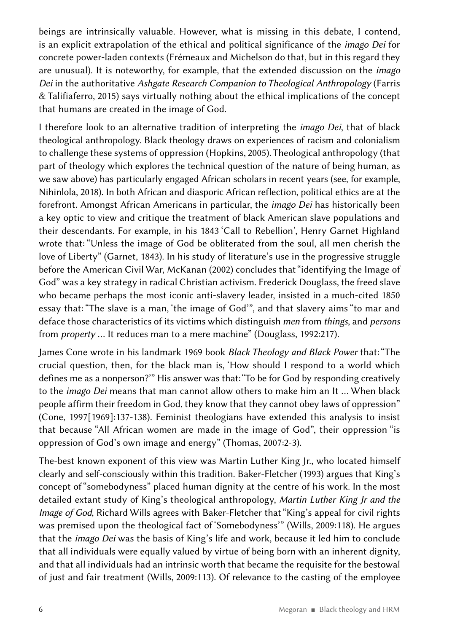beings are intrinsically valuable. However, what is missing in this debate, I contend, is an explicit extrapolation of the ethical and political significance of the *imago Dei* for concrete power-laden contexts (Frémeaux and Michelson do that, but in this regard they are unusual). It is noteworthy, for example, that the extended discussion on the *imago Dei* in the authoritative *Ashgate Research Companion to Theological Anthropology* (Farris & Talifiaferro, 2015) says virtually nothing about the ethical implications of the concept that humans are created in the image of God.

I therefore look to an alternative tradition of interpreting the *imago Dei*, that of black theological anthropology. Black theology draws on experiences of racism and colonialism to challenge these systems of oppression (Hopkins, 2005). Theological anthropology (that part of theology which explores the technical question of the nature of being human, as we saw above) has particularly engaged African scholars in recent years (see, for example, Nihinlola, 2018). In both African and diasporic African reflection, political ethics are at the forefront. Amongst African Americans in particular, the *imago Dei* has historically been a key optic to view and critique the treatment of black American slave populations and their descendants. For example, in his 1843 'Call to Rebellion', Henry Garnet Highland wrote that: "Unless the image of God be obliterated from the soul, all men cherish the love of Liberty" (Garnet, 1843). In his study of literature's use in the progressive struggle before the American Civil War, McKanan (2002) concludes that "identifying the Image of God" was a key strategy in radical Christian activism. Frederick Douglass, the freed slave who became perhaps the most iconic anti-slavery leader, insisted in a much-cited 1850 essay that: "The slave is a man, 'the image of God'", and that slavery aims "to mar and deface those characteristics of its victims which distinguish *men* from *things*, and *persons* from *property* … It reduces man to a mere machine" (Douglass, 1992:217).

James Cone wrote in his landmark 1969 book *Black Theology and Black Power* that: "The crucial question, then, for the black man is, 'How should I respond to a world which defines me as a nonperson?'" His answer was that: "To be for God by responding creatively to the *imago Dei* means that man cannot allow others to make him an It … When black people affirm their freedom in God, they know that they cannot obey laws of oppression" (Cone, 1997[1969]:137-138). Feminist theologians have extended this analysis to insist that because "All African women are made in the image of God", their oppression "is oppression of God's own image and energy" (Thomas, 2007:2-3).

The-best known exponent of this view was Martin Luther King Jr., who located himself clearly and self-consciously within this tradition. Baker-Fletcher (1993) argues that King's concept of "somebodyness" placed human dignity at the centre of his work. In the most detailed extant study of King's theological anthropology, *Martin Luther King Jr and the Image of God*, Richard Wills agrees with Baker-Fletcher that "King's appeal for civil rights was premised upon the theological fact of 'Somebodyness'" (Wills, 2009:118). He argues that the *imago Dei* was the basis of King's life and work, because it led him to conclude that all individuals were equally valued by virtue of being born with an inherent dignity, and that all individuals had an intrinsic worth that became the requisite for the bestowal of just and fair treatment (Wills, 2009:113). Of relevance to the casting of the employee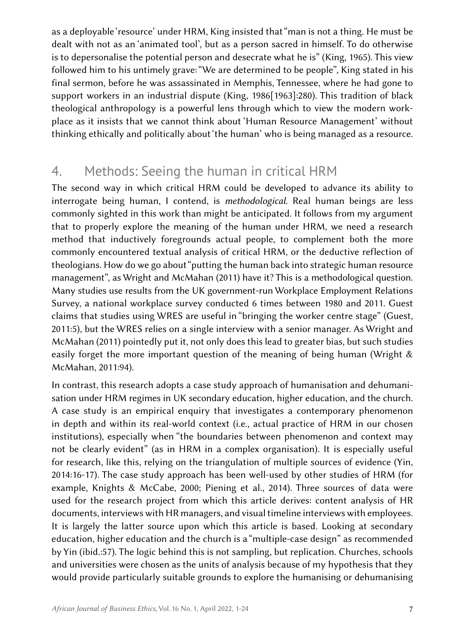as a deployable 'resource' under HRM, King insisted that "man is not a thing. He must be dealt with not as an 'animated tool', but as a person sacred in himself. To do otherwise is to depersonalise the potential person and desecrate what he is" (King, 1965). This view followed him to his untimely grave: "We are determined to be people", King stated in his final sermon, before he was assassinated in Memphis, Tennessee, where he had gone to support workers in an industrial dispute (King, 1986[1963]:280). This tradition of black theological anthropology is a powerful lens through which to view the modern workplace as it insists that we cannot think about 'Human Resource Management' without thinking ethically and politically about 'the human' who is being managed as a resource.

# 4. Methods: Seeing the human in critical HRM

The second way in which critical HRM could be developed to advance its ability to interrogate being human, I contend, is *methodological*. Real human beings are less commonly sighted in this work than might be anticipated. It follows from my argument that to properly explore the meaning of the human under HRM, we need a research method that inductively foregrounds actual people, to complement both the more commonly encountered textual analysis of critical HRM, or the deductive reflection of theologians. How do we go about "putting the human back into strategic human resource management", as Wright and McMahan (2011) have it? This is a methodological question. Many studies use results from the UK government-run Workplace Employment Relations Survey, a national workplace survey conducted 6 times between 1980 and 2011. Guest claims that studies using WRES are useful in "bringing the worker centre stage" (Guest, 2011:5), but the WRES relies on a single interview with a senior manager. As Wright and McMahan (2011) pointedly put it, not only does this lead to greater bias, but such studies easily forget the more important question of the meaning of being human (Wright & McMahan, 2011:94).

In contrast, this research adopts a case study approach of humanisation and dehumanisation under HRM regimes in UK secondary education, higher education, and the church. A case study is an empirical enquiry that investigates a contemporary phenomenon in depth and within its real-world context (i.e., actual practice of HRM in our chosen institutions), especially when "the boundaries between phenomenon and context may not be clearly evident" (as in HRM in a complex organisation). It is especially useful for research, like this, relying on the triangulation of multiple sources of evidence (Yin, 2014:16-17). The case study approach has been well-used by other studies of HRM (for example, Knights & McCabe, 2000; Piening et al., 2014). Three sources of data were used for the research project from which this article derives: content analysis of HR documents, interviews with HR managers, and visual timeline interviews with employees. It is largely the latter source upon which this article is based. Looking at secondary education, higher education and the church is a "multiple-case design" as recommended by Yin (ibid.:57). The logic behind this is not sampling, but replication. Churches, schools and universities were chosen as the units of analysis because of my hypothesis that they would provide particularly suitable grounds to explore the humanising or dehumanising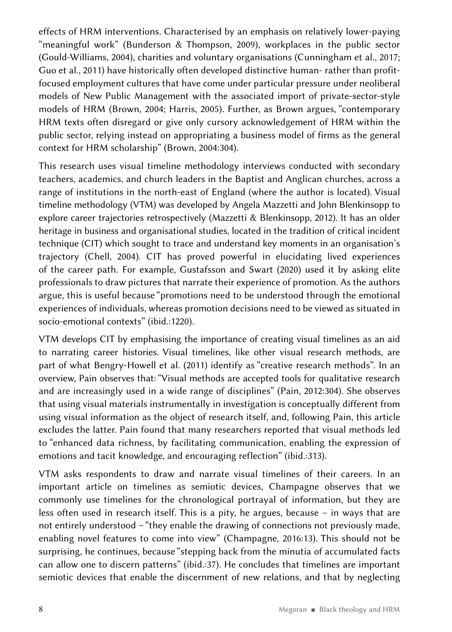effects of HRM interventions. Characterised by an emphasis on relatively lower-paying "meaningful work" (Bunderson & Thompson, 2009), workplaces in the public sector (Gould-Williams, 2004), charities and voluntary organisations (Cunningham et al., 2017; Guo et al., 2011) have historically often developed distinctive human- rather than profitfocused employment cultures that have come under particular pressure under neoliberal models of New Public Management with the associated import of private-sector-style models of HRM (Brown, 2004; Harris, 2005). Further, as Brown argues, "contemporary HRM texts often disregard or give only cursory acknowledgement of HRM within the public sector, relying instead on appropriating a business model of firms as the general context for HRM scholarship" (Brown, 2004:304).

This research uses visual timeline methodology interviews conducted with secondary teachers, academics, and church leaders in the Baptist and Anglican churches, across a range of institutions in the north-east of England (where the author is located). Visual timeline methodology (VTM) was developed by Angela Mazzetti and John Blenkinsopp to explore career trajectories retrospectively (Mazzetti & Blenkinsopp, 2012). It has an older heritage in business and organisational studies, located in the tradition of critical incident technique (CIT) which sought to trace and understand key moments in an organisation's trajectory (Chell, 2004). CIT has proved powerful in elucidating lived experiences of the career path. For example, Gustafsson and Swart (2020) used it by asking elite professionals to draw pictures that narrate their experience of promotion. As the authors argue, this is useful because "promotions need to be understood through the emotional experiences of individuals, whereas promotion decisions need to be viewed as situated in socio-emotional contexts" (ibid.:1220).

VTM develops CIT by emphasising the importance of creating visual timelines as an aid to narrating career histories. Visual timelines, like other visual research methods, are part of what Bengry-Howell et al. (2011) identify as "creative research methods". In an overview, Pain observes that: "Visual methods are accepted tools for qualitative research and are increasingly used in a wide range of disciplines" (Pain, 2012:304). She observes that using visual materials instrumentally in investigation is conceptually different from using visual information as the object of research itself, and, following Pain, this article excludes the latter. Pain found that many researchers reported that visual methods led to "enhanced data richness, by facilitating communication, enabling the expression of emotions and tacit knowledge, and encouraging reflection" (ibid.:313).

VTM asks respondents to draw and narrate visual timelines of their careers. In an important article on timelines as semiotic devices, Champagne observes that we commonly use timelines for the chronological portrayal of information, but they are less often used in research itself. This is a pity, he argues, because – in ways that are not entirely understood – "they enable the drawing of connections not previously made, enabling novel features to come into view" (Champagne, 2016:13). This should not be surprising, he continues, because "stepping back from the minutia of accumulated facts can allow one to discern patterns" (ibid.:37). He concludes that timelines are important semiotic devices that enable the discernment of new relations, and that by neglecting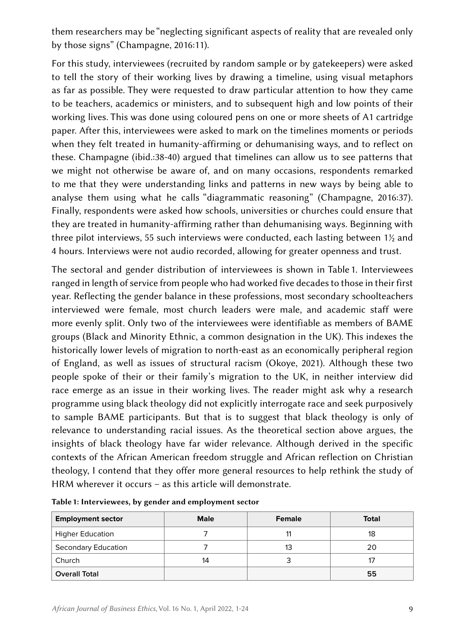them researchers may be "neglecting significant aspects of reality that are revealed only by those signs" (Champagne, 2016:11).

For this study, interviewees (recruited by random sample or by gatekeepers) were asked to tell the story of their working lives by drawing a timeline, using visual metaphors as far as possible. They were requested to draw particular attention to how they came to be teachers, academics or ministers, and to subsequent high and low points of their working lives. This was done using coloured pens on one or more sheets of A1 cartridge paper. After this, interviewees were asked to mark on the timelines moments or periods when they felt treated in humanity-affirming or dehumanising ways, and to reflect on these. Champagne (ibid.:38-40) argued that timelines can allow us to see patterns that we might not otherwise be aware of, and on many occasions, respondents remarked to me that they were understanding links and patterns in new ways by being able to analyse them using what he calls "diagrammatic reasoning" (Champagne, 2016:37). Finally, respondents were asked how schools, universities or churches could ensure that they are treated in humanity-affirming rather than dehumanising ways. Beginning with three pilot interviews, 55 such interviews were conducted, each lasting between  $1\frac{1}{2}$  and 4 hours. Interviews were not audio recorded, allowing for greater openness and trust.

The sectoral and gender distribution of interviewees is shown in Table 1. Interviewees ranged in length of service from people who had worked five decades to those in their first year. Reflecting the gender balance in these professions, most secondary schoolteachers interviewed were female, most church leaders were male, and academic staff were more evenly split. Only two of the interviewees were identifiable as members of BAME groups (Black and Minority Ethnic, a common designation in the UK). This indexes the historically lower levels of migration to north-east as an economically peripheral region of England, as well as issues of structural racism (Okoye, 2021). Although these two people spoke of their or their family's migration to the UK, in neither interview did race emerge as an issue in their working lives. The reader might ask why a research programme using black theology did not explicitly interrogate race and seek purposively to sample BAME participants. But that is to suggest that black theology is only of relevance to understanding racial issues. As the theoretical section above argues, the insights of black theology have far wider relevance. Although derived in the specific contexts of the African American freedom struggle and African reflection on Christian theology, I contend that they offer more general resources to help rethink the study of HRM wherever it occurs – as this article will demonstrate.

| <b>Employment sector</b>   | <b>Male</b> | Female | <b>Total</b> |
|----------------------------|-------------|--------|--------------|
| <b>Higher Education</b>    |             |        | 18           |
| <b>Secondary Education</b> |             | 13     | 20           |
| Church                     | 14          |        |              |
| <b>Overall Total</b>       |             |        | 55           |

Table 1: Interviewees, by gender and employment sector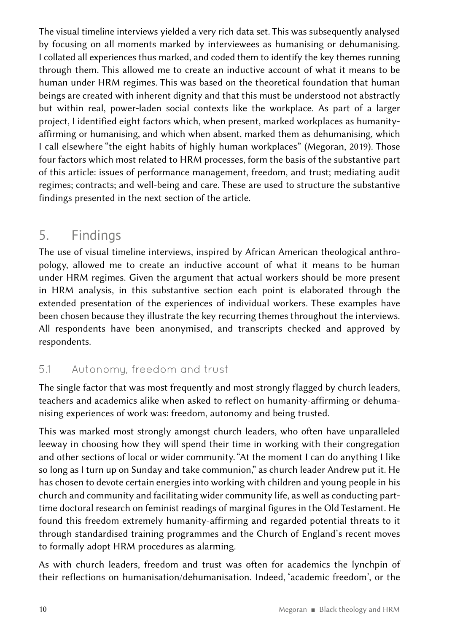The visual timeline interviews yielded a very rich data set. This was subsequently analysed by focusing on all moments marked by interviewees as humanising or dehumanising. I collated all experiences thus marked, and coded them to identify the key themes running through them. This allowed me to create an inductive account of what it means to be human under HRM regimes. This was based on the theoretical foundation that human beings are created with inherent dignity and that this must be understood not abstractly but within real, power-laden social contexts like the workplace. As part of a larger project, I identified eight factors which, when present, marked workplaces as humanityaffirming or humanising, and which when absent, marked them as dehumanising, which I call elsewhere "the eight habits of highly human workplaces" (Megoran, 2019). Those four factors which most related to HRM processes, form the basis of the substantive part of this article: issues of performance management, freedom, and trust; mediating audit regimes; contracts; and well-being and care. These are used to structure the substantive findings presented in the next section of the article.

# 5. Findings

The use of visual timeline interviews, inspired by African American theological anthropology, allowed me to create an inductive account of what it means to be human under HRM regimes. Given the argument that actual workers should be more present in HRM analysis, in this substantive section each point is elaborated through the extended presentation of the experiences of individual workers. These examples have been chosen because they illustrate the key recurring themes throughout the interviews. All respondents have been anonymised, and transcripts checked and approved by respondents.

### 5.1 Autonomy, freedom and trust

The single factor that was most frequently and most strongly flagged by church leaders, teachers and academics alike when asked to reflect on humanity-affirming or dehumanising experiences of work was: freedom, autonomy and being trusted.

This was marked most strongly amongst church leaders, who often have unparalleled leeway in choosing how they will spend their time in working with their congregation and other sections of local or wider community. "At the moment I can do anything I like so long as I turn up on Sunday and take communion," as church leader Andrew put it. He has chosen to devote certain energies into working with children and young people in his church and community and facilitating wider community life, as well as conducting parttime doctoral research on feminist readings of marginal figures in the Old Testament. He found this freedom extremely humanity-affirming and regarded potential threats to it through standardised training programmes and the Church of England's recent moves to formally adopt HRM procedures as alarming.

As with church leaders, freedom and trust was often for academics the lynchpin of their reflections on humanisation/dehumanisation. Indeed, 'academic freedom', or the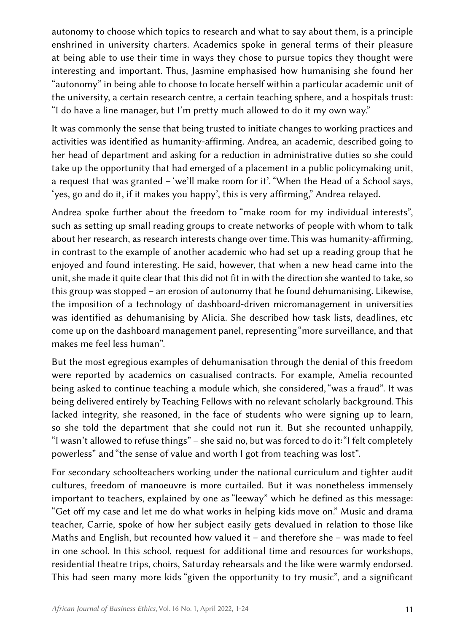autonomy to choose which topics to research and what to say about them, is a principle enshrined in university charters. Academics spoke in general terms of their pleasure at being able to use their time in ways they chose to pursue topics they thought were interesting and important. Thus, Jasmine emphasised how humanising she found her "autonomy" in being able to choose to locate herself within a particular academic unit of the university, a certain research centre, a certain teaching sphere, and a hospitals trust: "I do have a line manager, but I'm pretty much allowed to do it my own way."

It was commonly the sense that being trusted to initiate changes to working practices and activities was identified as humanity-affirming. Andrea, an academic, described going to her head of department and asking for a reduction in administrative duties so she could take up the opportunity that had emerged of a placement in a public policymaking unit, a request that was granted – 'we'll make room for it'. "When the Head of a School says, 'yes, go and do it, if it makes you happy', this is very affirming," Andrea relayed.

Andrea spoke further about the freedom to "make room for my individual interests", such as setting up small reading groups to create networks of people with whom to talk about her research, as research interests change over time. This was humanity-affirming, in contrast to the example of another academic who had set up a reading group that he enjoyed and found interesting. He said, however, that when a new head came into the unit, she made it quite clear that this did not fit in with the direction she wanted to take, so this group was stopped – an erosion of autonomy that he found dehumanising. Likewise, the imposition of a technology of dashboard-driven micromanagement in universities was identified as dehumanising by Alicia. She described how task lists, deadlines, etc come up on the dashboard management panel, representing "more surveillance, and that makes me feel less human".

But the most egregious examples of dehumanisation through the denial of this freedom were reported by academics on casualised contracts. For example, Amelia recounted being asked to continue teaching a module which, she considered, "was a fraud". It was being delivered entirely by Teaching Fellows with no relevant scholarly background. This lacked integrity, she reasoned, in the face of students who were signing up to learn, so she told the department that she could not run it. But she recounted unhappily, "I wasn't allowed to refuse things" – she said no, but was forced to do it: "I felt completely powerless" and "the sense of value and worth I got from teaching was lost".

For secondary schoolteachers working under the national curriculum and tighter audit cultures, freedom of manoeuvre is more curtailed. But it was nonetheless immensely important to teachers, explained by one as "leeway" which he defined as this message: "Get off my case and let me do what works in helping kids move on." Music and drama teacher, Carrie, spoke of how her subject easily gets devalued in relation to those like Maths and English, but recounted how valued it – and therefore she – was made to feel in one school. In this school, request for additional time and resources for workshops, residential theatre trips, choirs, Saturday rehearsals and the like were warmly endorsed. This had seen many more kids "given the opportunity to try music", and a significant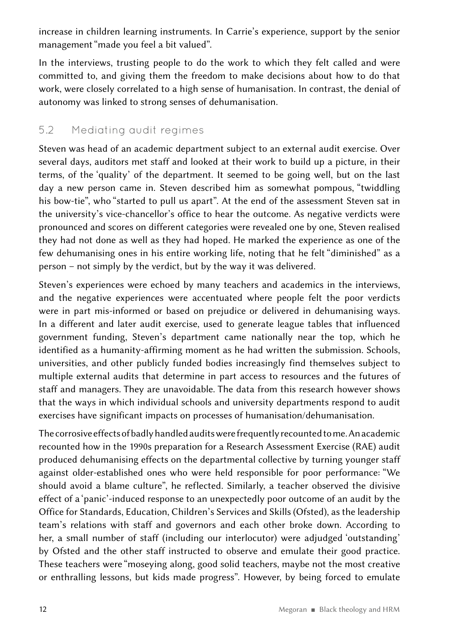increase in children learning instruments. In Carrie's experience, support by the senior management "made you feel a bit valued".

In the interviews, trusting people to do the work to which they felt called and were committed to, and giving them the freedom to make decisions about how to do that work, were closely correlated to a high sense of humanisation. In contrast, the denial of autonomy was linked to strong senses of dehumanisation.

### 5.2 Mediating audit regimes

Steven was head of an academic department subject to an external audit exercise. Over several days, auditors met staff and looked at their work to build up a picture, in their terms, of the 'quality' of the department. It seemed to be going well, but on the last day a new person came in. Steven described him as somewhat pompous, "twiddling his bow-tie", who "started to pull us apart". At the end of the assessment Steven sat in the university's vice-chancellor's office to hear the outcome. As negative verdicts were pronounced and scores on different categories were revealed one by one, Steven realised they had not done as well as they had hoped. He marked the experience as one of the few dehumanising ones in his entire working life, noting that he felt "diminished" as a person – not simply by the verdict, but by the way it was delivered.

Steven's experiences were echoed by many teachers and academics in the interviews, and the negative experiences were accentuated where people felt the poor verdicts were in part mis-informed or based on prejudice or delivered in dehumanising ways. In a different and later audit exercise, used to generate league tables that influenced government funding, Steven's department came nationally near the top, which he identified as a humanity-affirming moment as he had written the submission. Schools, universities, and other publicly funded bodies increasingly find themselves subject to multiple external audits that determine in part access to resources and the futures of staff and managers. They are unavoidable. The data from this research however shows that the ways in which individual schools and university departments respond to audit exercises have significant impacts on processes of humanisation/dehumanisation.

The corrosive effects of badly handled audits were frequently recounted to me. An academic recounted how in the 1990s preparation for a Research Assessment Exercise (RAE) audit produced dehumanising effects on the departmental collective by turning younger staff against older-established ones who were held responsible for poor performance: "We should avoid a blame culture", he reflected. Similarly, a teacher observed the divisive effect of a 'panic'-induced response to an unexpectedly poor outcome of an audit by the Office for Standards, Education, Children's Services and Skills (Ofsted), as the leadership team's relations with staff and governors and each other broke down. According to her, a small number of staff (including our interlocutor) were adjudged 'outstanding' by Ofsted and the other staff instructed to observe and emulate their good practice. These teachers were "moseying along, good solid teachers, maybe not the most creative or enthralling lessons, but kids made progress". However, by being forced to emulate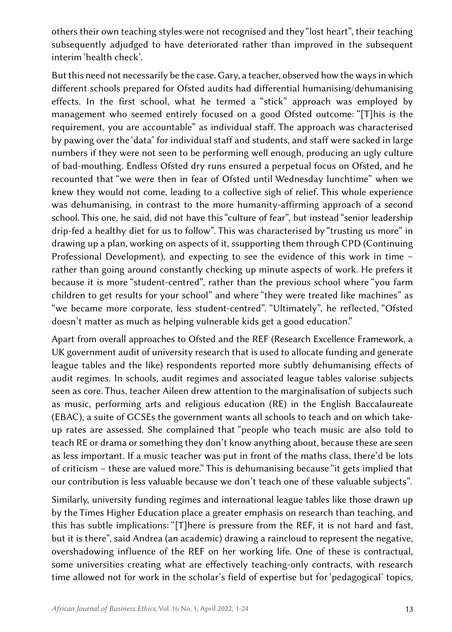others their own teaching styles were not recognised and they "lost heart", their teaching subsequently adjudged to have deteriorated rather than improved in the subsequent interim 'health check'.

But this need not necessarily be the case. Gary, a teacher, observed how the ways in which different schools prepared for Ofsted audits had differential humanising/dehumanising effects. In the first school, what he termed a "stick" approach was employed by management who seemed entirely focused on a good Ofsted outcome: "[T]his is the requirement, you are accountable" as individual staff. The approach was characterised by pawing over the 'data' for individual staff and students, and staff were sacked in large numbers if they were not seen to be performing well enough, producing an ugly culture of bad-mouthing. Endless Ofsted dry runs ensured a perpetual focus on Ofsted, and he recounted that "we were then in fear of Ofsted until Wednesday lunchtime" when we knew they would not come, leading to a collective sigh of relief. This whole experience was dehumanising, in contrast to the more humanity-affirming approach of a second school. This one, he said, did not have this "culture of fear", but instead "senior leadership drip-fed a healthy diet for us to follow". This was characterised by "trusting us more" in drawing up a plan, working on aspects of it, ssupporting them through CPD (Continuing Professional Development), and expecting to see the evidence of this work in time – rather than going around constantly checking up minute aspects of work. He prefers it because it is more "student-centred", rather than the previous school where "you farm children to get results for your school" and where "they were treated like machines" as "we became more corporate, less student-centred". "Ultimately", he reflected, "Ofsted doesn't matter as much as helping vulnerable kids get a good education."

Apart from overall approaches to Ofsted and the REF (Research Excellence Framework, a UK government audit of university research that is used to allocate funding and generate league tables and the like) respondents reported more subtly dehumanising effects of audit regimes. In schools, audit regimes and associated league tables valorise subjects seen as core. Thus, teacher Aileen drew attention to the marginalisation of subjects such as music, performing arts and religious education (RE) in the English Baccalaureate (EBAC), a suite of GCSEs the government wants all schools to teach and on which takeup rates are assessed. She complained that "people who teach music are also told to teach RE or drama or something they don't know anything about, because these are seen as less important. If a music teacher was put in front of the maths class, there'd be lots of criticism – these are valued more." This is dehumanising because "it gets implied that our contribution is less valuable because we don't teach one of these valuable subjects".

Similarly, university funding regimes and international league tables like those drawn up by the Times Higher Education place a greater emphasis on research than teaching, and this has subtle implications: "[T]here is pressure from the REF, it is not hard and fast, but it is there", said Andrea (an academic) drawing a raincloud to represent the negative, overshadowing influence of the REF on her working life. One of these is contractual, some universities creating what are effectively teaching-only contracts, with research time allowed not for work in the scholar's field of expertise but for 'pedagogical' topics,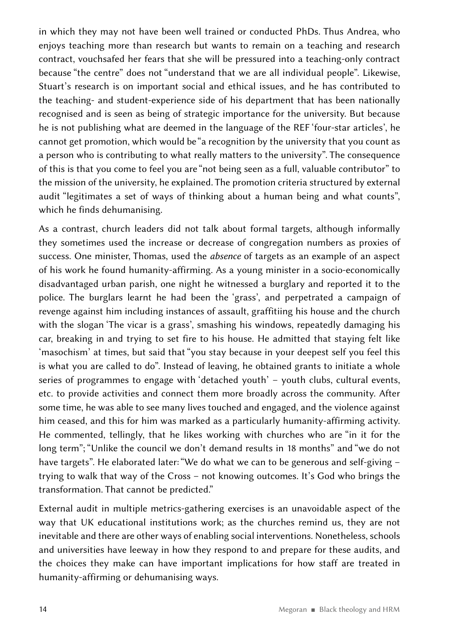in which they may not have been well trained or conducted PhDs. Thus Andrea, who enjoys teaching more than research but wants to remain on a teaching and research contract, vouchsafed her fears that she will be pressured into a teaching-only contract because "the centre" does not "understand that we are all individual people". Likewise, Stuart's research is on important social and ethical issues, and he has contributed to the teaching- and student-experience side of his department that has been nationally recognised and is seen as being of strategic importance for the university. But because he is not publishing what are deemed in the language of the REF 'four-star articles', he cannot get promotion, which would be "a recognition by the university that you count as a person who is contributing to what really matters to the university". The consequence of this is that you come to feel you are "not being seen as a full, valuable contributor" to the mission of the university, he explained. The promotion criteria structured by external audit "legitimates a set of ways of thinking about a human being and what counts", which he finds dehumanising.

As a contrast, church leaders did not talk about formal targets, although informally they sometimes used the increase or decrease of congregation numbers as proxies of success. One minister, Thomas, used the *absence* of targets as an example of an aspect of his work he found humanity-affirming. As a young minister in a socio-economically disadvantaged urban parish, one night he witnessed a burglary and reported it to the police. The burglars learnt he had been the 'grass', and perpetrated a campaign of revenge against him including instances of assault, graffitiing his house and the church with the slogan 'The vicar is a grass', smashing his windows, repeatedly damaging his car, breaking in and trying to set fire to his house. He admitted that staying felt like 'masochism' at times, but said that "you stay because in your deepest self you feel this is what you are called to do". Instead of leaving, he obtained grants to initiate a whole series of programmes to engage with 'detached youth' – youth clubs, cultural events, etc. to provide activities and connect them more broadly across the community. After some time, he was able to see many lives touched and engaged, and the violence against him ceased, and this for him was marked as a particularly humanity-affirming activity. He commented, tellingly, that he likes working with churches who are "in it for the long term"; "Unlike the council we don't demand results in 18 months" and "we do not have targets". He elaborated later: "We do what we can to be generous and self-giving trying to walk that way of the Cross – not knowing outcomes. It's God who brings the transformation. That cannot be predicted."

External audit in multiple metrics-gathering exercises is an unavoidable aspect of the way that UK educational institutions work; as the churches remind us, they are not inevitable and there are other ways of enabling social interventions. Nonetheless, schools and universities have leeway in how they respond to and prepare for these audits, and the choices they make can have important implications for how staff are treated in humanity-affirming or dehumanising ways.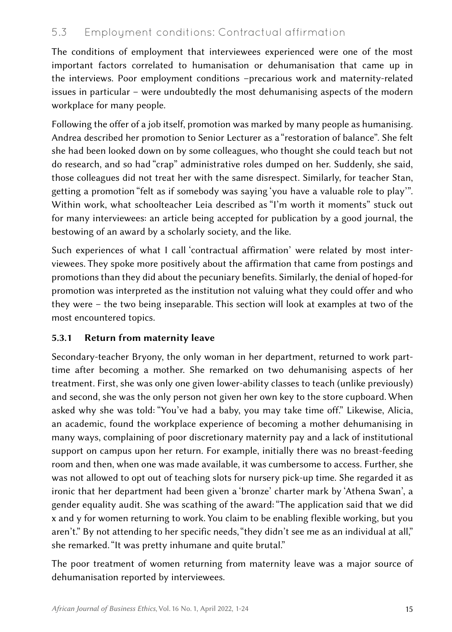### 5.3 Employment conditions: Contractual affirmation

The conditions of employment that interviewees experienced were one of the most important factors correlated to humanisation or dehumanisation that came up in the interviews. Poor employment conditions –precarious work and maternity-related issues in particular – were undoubtedly the most dehumanising aspects of the modern workplace for many people.

Following the offer of a job itself, promotion was marked by many people as humanising. Andrea described her promotion to Senior Lecturer as a "restoration of balance". She felt she had been looked down on by some colleagues, who thought she could teach but not do research, and so had "crap" administrative roles dumped on her. Suddenly, she said, those colleagues did not treat her with the same disrespect. Similarly, for teacher Stan, getting a promotion "felt as if somebody was saying 'you have a valuable role to play'". Within work, what schoolteacher Leia described as "I'm worth it moments" stuck out for many interviewees: an article being accepted for publication by a good journal, the bestowing of an award by a scholarly society, and the like.

Such experiences of what I call 'contractual affirmation' were related by most interviewees. They spoke more positively about the affirmation that came from postings and promotions than they did about the pecuniary benefits. Similarly, the denial of hoped-for promotion was interpreted as the institution not valuing what they could offer and who they were – the two being inseparable. This section will look at examples at two of the most encountered topics.

### 5.3.1 Return from maternity leave

Secondary-teacher Bryony, the only woman in her department, returned to work parttime after becoming a mother. She remarked on two dehumanising aspects of her treatment. First, she was only one given lower-ability classes to teach (unlike previously) and second, she was the only person not given her own key to the store cupboard. When asked why she was told: "You've had a baby, you may take time off." Likewise, Alicia, an academic, found the workplace experience of becoming a mother dehumanising in many ways, complaining of poor discretionary maternity pay and a lack of institutional support on campus upon her return. For example, initially there was no breast-feeding room and then, when one was made available, it was cumbersome to access. Further, she was not allowed to opt out of teaching slots for nursery pick-up time. She regarded it as ironic that her department had been given a 'bronze' charter mark by 'Athena Swan', a gender equality audit. She was scathing of the award: "The application said that we did x and y for women returning to work. You claim to be enabling flexible working, but you aren't." By not attending to her specific needs, "they didn't see me as an individual at all," she remarked. "It was pretty inhumane and quite brutal."

The poor treatment of women returning from maternity leave was a major source of dehumanisation reported by interviewees.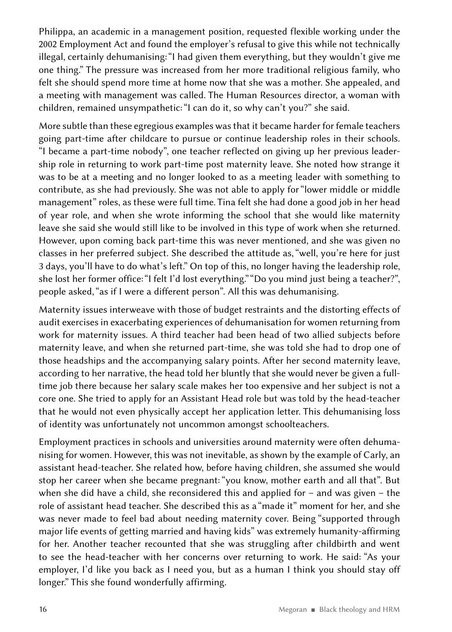Philippa, an academic in a management position, requested flexible working under the 2002 Employment Act and found the employer's refusal to give this while not technically illegal, certainly dehumanising: "I had given them everything, but they wouldn't give me one thing." The pressure was increased from her more traditional religious family, who felt she should spend more time at home now that she was a mother. She appealed, and a meeting with management was called. The Human Resources director, a woman with children, remained unsympathetic: "I can do it, so why can't you?" she said.

More subtle than these egregious examples was that it became harder for female teachers going part-time after childcare to pursue or continue leadership roles in their schools. "I became a part-time nobody", one teacher reflected on giving up her previous leadership role in returning to work part-time post maternity leave. She noted how strange it was to be at a meeting and no longer looked to as a meeting leader with something to contribute, as she had previously. She was not able to apply for "lower middle or middle management" roles, as these were full time. Tina felt she had done a good job in her head of year role, and when she wrote informing the school that she would like maternity leave she said she would still like to be involved in this type of work when she returned. However, upon coming back part-time this was never mentioned, and she was given no classes in her preferred subject. She described the attitude as, "well, you're here for just 3 days, you'll have to do what's left." On top of this, no longer having the leadership role, she lost her former office: "I felt I'd lost everything." "Do you mind just being a teacher?", people asked, "as if I were a different person". All this was dehumanising.

Maternity issues interweave with those of budget restraints and the distorting effects of audit exercises in exacerbating experiences of dehumanisation for women returning from work for maternity issues. A third teacher had been head of two allied subjects before maternity leave, and when she returned part-time, she was told she had to drop one of those headships and the accompanying salary points. After her second maternity leave, according to her narrative, the head told her bluntly that she would never be given a fulltime job there because her salary scale makes her too expensive and her subject is not a core one. She tried to apply for an Assistant Head role but was told by the head-teacher that he would not even physically accept her application letter. This dehumanising loss of identity was unfortunately not uncommon amongst schoolteachers.

Employment practices in schools and universities around maternity were often dehumanising for women. However, this was not inevitable, as shown by the example of Carly, an assistant head-teacher. She related how, before having children, she assumed she would stop her career when she became pregnant: "you know, mother earth and all that". But when she did have a child, she reconsidered this and applied for – and was given – the role of assistant head teacher. She described this as a "made it" moment for her, and she was never made to feel bad about needing maternity cover. Being "supported through major life events of getting married and having kids" was extremely humanity-affirming for her. Another teacher recounted that she was struggling after childbirth and went to see the head-teacher with her concerns over returning to work. He said: "As your employer, I'd like you back as I need you, but as a human I think you should stay off longer." This she found wonderfully affirming.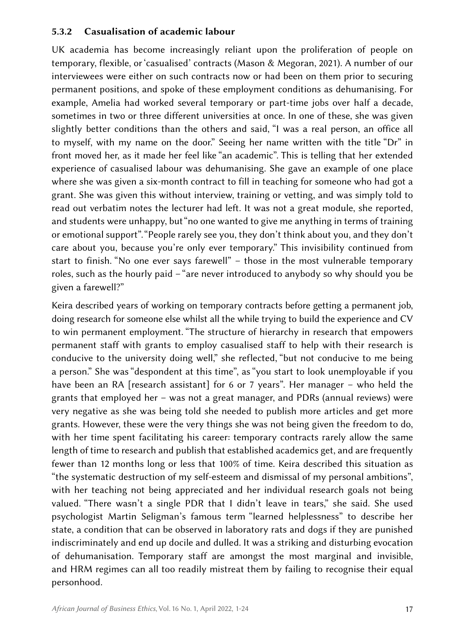### 5.3.2 Casualisation of academic labour

UK academia has become increasingly reliant upon the proliferation of people on temporary, flexible, or 'casualised' contracts (Mason & Megoran, 2021). A number of our interviewees were either on such contracts now or had been on them prior to securing permanent positions, and spoke of these employment conditions as dehumanising. For example, Amelia had worked several temporary or part-time jobs over half a decade, sometimes in two or three different universities at once. In one of these, she was given slightly better conditions than the others and said, "I was a real person, an office all to myself, with my name on the door." Seeing her name written with the title "Dr" in front moved her, as it made her feel like "an academic". This is telling that her extended experience of casualised labour was dehumanising. She gave an example of one place where she was given a six-month contract to fill in teaching for someone who had got a grant. She was given this without interview, training or vetting, and was simply told to read out verbatim notes the lecturer had left. It was not a great module, she reported, and students were unhappy, but "no one wanted to give me anything in terms of training or emotional support". "People rarely see you, they don't think about you, and they don't care about you, because you're only ever temporary." This invisibility continued from start to finish. "No one ever says farewell" – those in the most vulnerable temporary roles, such as the hourly paid – "are never introduced to anybody so why should you be given a farewell?"

Keira described years of working on temporary contracts before getting a permanent job, doing research for someone else whilst all the while trying to build the experience and CV to win permanent employment. "The structure of hierarchy in research that empowers permanent staff with grants to employ casualised staff to help with their research is conducive to the university doing well," she reflected, "but not conducive to me being a person." She was "despondent at this time", as "you start to look unemployable if you have been an RA [research assistant] for 6 or 7 years". Her manager – who held the grants that employed her – was not a great manager, and PDRs (annual reviews) were very negative as she was being told she needed to publish more articles and get more grants. However, these were the very things she was not being given the freedom to do, with her time spent facilitating his career: temporary contracts rarely allow the same length of time to research and publish that established academics get, and are frequently fewer than 12 months long or less that 100% of time. Keira described this situation as "the systematic destruction of my self-esteem and dismissal of my personal ambitions", with her teaching not being appreciated and her individual research goals not being valued. "There wasn't a single PDR that I didn't leave in tears," she said. She used psychologist Martin Seligman's famous term "learned helplessness" to describe her state, a condition that can be observed in laboratory rats and dogs if they are punished indiscriminately and end up docile and dulled. It was a striking and disturbing evocation of dehumanisation. Temporary staff are amongst the most marginal and invisible, and HRM regimes can all too readily mistreat them by failing to recognise their equal personhood.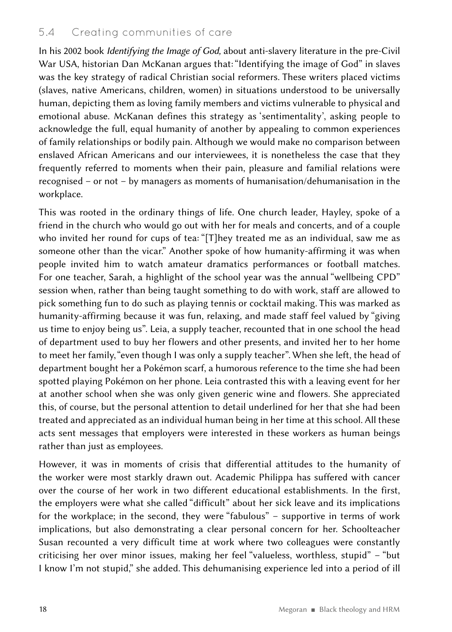### 5.4 Creating communities of care

In his 2002 book *Identifying the Image of God,* about anti-slavery literature in the pre-Civil War USA, historian Dan McKanan argues that: "Identifying the image of God" in slaves was the key strategy of radical Christian social reformers. These writers placed victims (slaves, native Americans, children, women) in situations understood to be universally human, depicting them as loving family members and victims vulnerable to physical and emotional abuse. McKanan defines this strategy as 'sentimentality', asking people to acknowledge the full, equal humanity of another by appealing to common experiences of family relationships or bodily pain. Although we would make no comparison between enslaved African Americans and our interviewees, it is nonetheless the case that they frequently referred to moments when their pain, pleasure and familial relations were recognised – or not – by managers as moments of humanisation/dehumanisation in the workplace.

This was rooted in the ordinary things of life. One church leader, Hayley, spoke of a friend in the church who would go out with her for meals and concerts, and of a couple who invited her round for cups of tea: "[T]hey treated me as an individual, saw me as someone other than the vicar." Another spoke of how humanity-affirming it was when people invited him to watch amateur dramatics performances or football matches. For one teacher, Sarah, a highlight of the school year was the annual "wellbeing CPD" session when, rather than being taught something to do with work, staff are allowed to pick something fun to do such as playing tennis or cocktail making. This was marked as humanity-affirming because it was fun, relaxing, and made staff feel valued by "giving us time to enjoy being us". Leia, a supply teacher, recounted that in one school the head of department used to buy her flowers and other presents, and invited her to her home to meet her family, "even though I was only a supply teacher". When she left, the head of department bought her a Pokémon scarf, a humorous reference to the time she had been spotted playing Pokémon on her phone. Leia contrasted this with a leaving event for her at another school when she was only given generic wine and flowers. She appreciated this, of course, but the personal attention to detail underlined for her that she had been treated and appreciated as an individual human being in her time at this school. All these acts sent messages that employers were interested in these workers as human beings rather than just as employees.

However, it was in moments of crisis that differential attitudes to the humanity of the worker were most starkly drawn out. Academic Philippa has suffered with cancer over the course of her work in two different educational establishments. In the first, the employers were what she called "difficult" about her sick leave and its implications for the workplace; in the second, they were "fabulous" – supportive in terms of work implications, but also demonstrating a clear personal concern for her. Schoolteacher Susan recounted a very difficult time at work where two colleagues were constantly criticising her over minor issues, making her feel "valueless, worthless, stupid" – "but I know I'm not stupid," she added. This dehumanising experience led into a period of ill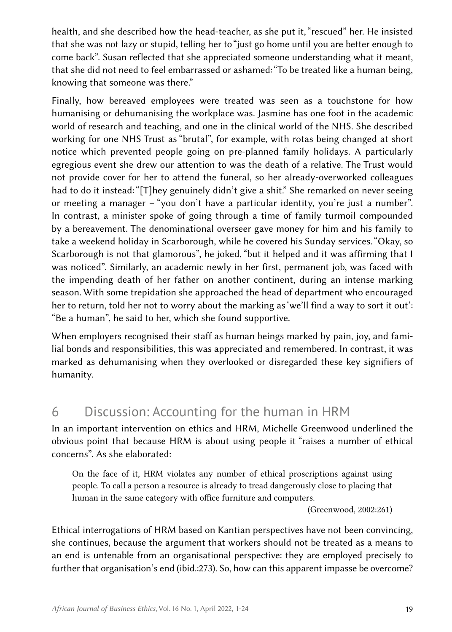health, and she described how the head-teacher, as she put it, "rescued" her. He insisted that she was not lazy or stupid, telling her to "just go home until you are better enough to come back". Susan reflected that she appreciated someone understanding what it meant, that she did not need to feel embarrassed or ashamed: "To be treated like a human being, knowing that someone was there."

Finally, how bereaved employees were treated was seen as a touchstone for how humanising or dehumanising the workplace was. Jasmine has one foot in the academic world of research and teaching, and one in the clinical world of the NHS. She described working for one NHS Trust as "brutal", for example, with rotas being changed at short notice which prevented people going on pre-planned family holidays. A particularly egregious event she drew our attention to was the death of a relative. The Trust would not provide cover for her to attend the funeral, so her already-overworked colleagues had to do it instead: "[T]hey genuinely didn't give a shit." She remarked on never seeing or meeting a manager – "you don't have a particular identity, you're just a number". In contrast, a minister spoke of going through a time of family turmoil compounded by a bereavement. The denominational overseer gave money for him and his family to take a weekend holiday in Scarborough, while he covered his Sunday services. "Okay, so Scarborough is not that glamorous", he joked, "but it helped and it was affirming that I was noticed". Similarly, an academic newly in her first, permanent job, was faced with the impending death of her father on another continent, during an intense marking season. With some trepidation she approached the head of department who encouraged her to return, told her not to worry about the marking as 'we'll find a way to sort it out': "Be a human", he said to her, which she found supportive.

When employers recognised their staff as human beings marked by pain, joy, and familial bonds and responsibilities, this was appreciated and remembered. In contrast, it was marked as dehumanising when they overlooked or disregarded these key signifiers of humanity.

# 6 Discussion: Accounting for the human in HRM

In an important intervention on ethics and HRM, Michelle Greenwood underlined the obvious point that because HRM is about using people it "raises a number of ethical concerns". As she elaborated:

On the face of it, HRM violates any number of ethical proscriptions against using people. To call a person a resource is already to tread dangerously close to placing that human in the same category with office furniture and computers.

(Greenwood, 2002:261)

Ethical interrogations of HRM based on Kantian perspectives have not been convincing, she continues, because the argument that workers should not be treated as a means to an end is untenable from an organisational perspective: they are employed precisely to further that organisation's end (ibid.:273). So, how can this apparent impasse be overcome?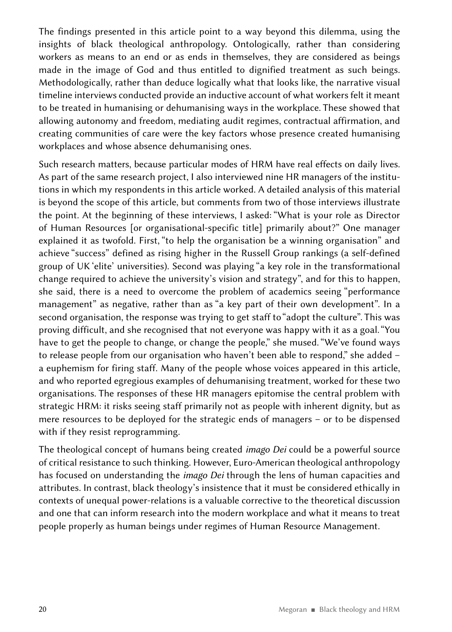The findings presented in this article point to a way beyond this dilemma, using the insights of black theological anthropology. Ontologically, rather than considering workers as means to an end or as ends in themselves, they are considered as beings made in the image of God and thus entitled to dignified treatment as such beings. Methodologically, rather than deduce logically what that looks like, the narrative visual timeline interviews conducted provide an inductive account of what workers felt it meant to be treated in humanising or dehumanising ways in the workplace. These showed that allowing autonomy and freedom, mediating audit regimes, contractual affirmation, and creating communities of care were the key factors whose presence created humanising workplaces and whose absence dehumanising ones.

Such research matters, because particular modes of HRM have real effects on daily lives. As part of the same research project, I also interviewed nine HR managers of the institutions in which my respondents in this article worked. A detailed analysis of this material is beyond the scope of this article, but comments from two of those interviews illustrate the point. At the beginning of these interviews, I asked: "What is your role as Director of Human Resources [or organisational-specific title] primarily about?" One manager explained it as twofold. First, "to help the organisation be a winning organisation" and achieve "success" defined as rising higher in the Russell Group rankings (a self-defined group of UK 'elite' universities). Second was playing "a key role in the transformational change required to achieve the university's vision and strategy", and for this to happen, she said, there is a need to overcome the problem of academics seeing "performance management" as negative, rather than as "a key part of their own development". In a second organisation, the response was trying to get staff to "adopt the culture". This was proving difficult, and she recognised that not everyone was happy with it as a goal. "You have to get the people to change, or change the people," she mused. "We've found ways to release people from our organisation who haven't been able to respond," she added – a euphemism for firing staff. Many of the people whose voices appeared in this article, and who reported egregious examples of dehumanising treatment, worked for these two organisations. The responses of these HR managers epitomise the central problem with strategic HRM: it risks seeing staff primarily not as people with inherent dignity, but as mere resources to be deployed for the strategic ends of managers – or to be dispensed with if they resist reprogramming.

The theological concept of humans being created *imago Dei* could be a powerful source of critical resistance to such thinking. However, Euro-American theological anthropology has focused on understanding the *imago Dei* through the lens of human capacities and attributes. In contrast, black theology's insistence that it must be considered ethically in contexts of unequal power-relations is a valuable corrective to the theoretical discussion and one that can inform research into the modern workplace and what it means to treat people properly as human beings under regimes of Human Resource Management.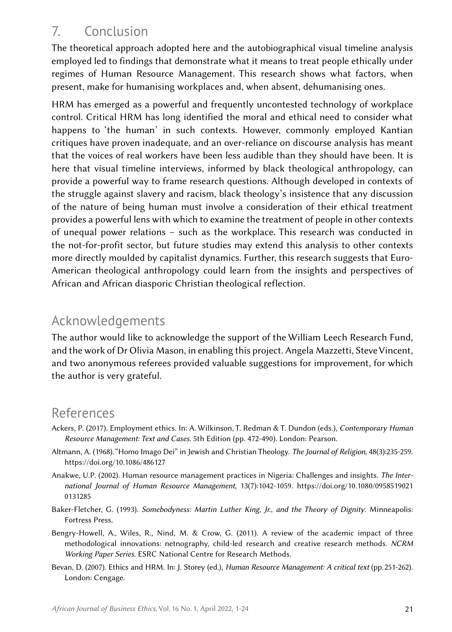# 7. Conclusion

The theoretical approach adopted here and the autobiographical visual timeline analysis employed led to findings that demonstrate what it means to treat people ethically under regimes of Human Resource Management. This research shows what factors, when present, make for humanising workplaces and, when absent, dehumanising ones.

HRM has emerged as a powerful and frequently uncontested technology of workplace control. Critical HRM has long identified the moral and ethical need to consider what happens to 'the human' in such contexts. However, commonly employed Kantian critiques have proven inadequate, and an over-reliance on discourse analysis has meant that the voices of real workers have been less audible than they should have been. It is here that visual timeline interviews, informed by black theological anthropology, can provide a powerful way to frame research questions. Although developed in contexts of the struggle against slavery and racism, black theology's insistence that any discussion of the nature of being human must involve a consideration of their ethical treatment provides a powerful lens with which to examine the treatment of people in other contexts of unequal power relations – such as the workplace. This research was conducted in the not-for-profit sector, but future studies may extend this analysis to other contexts more directly moulded by capitalist dynamics. Further, this research suggests that Euro-American theological anthropology could learn from the insights and perspectives of African and African diasporic Christian theological reflection.

# Acknowledgements

The author would like to acknowledge the support of the William Leech Research Fund, and the work of Dr Olivia Mason, in enabling this project. Angela Mazzetti, Steve Vincent, and two anonymous referees provided valuable suggestions for improvement, for which the author is very grateful.

# References

- Ackers, P. (2017). Employment ethics. In: A. Wilkinson, T. Redman & T. Dundon (eds.), *Contemporary Human Resource Management: Text and Cases*. 5th Edition (pp. 472-490). London: Pearson.
- Altmann, A. (1968). "Homo Imago Dei" in Jewish and Christian Theology. *The Journal of Religion*, 48(3):235-259. <https://doi.org/10.1086/486127>
- Anakwe, U.P. (2002). Human resource management practices in Nigeria: Challenges and insights. *The International Journal of Human Resource Management*, 13(7):1042-1059. [https://doi.org/10.1080/0958519021](https://doi.org/10.1080/09585190210131285) [0131285](https://doi.org/10.1080/09585190210131285)
- Baker-Fletcher, G. (1993). *Somebodyness: Martin Luther King, Jr., and the Theory of Dignity*. Minneapolis: Fortress Press.
- Bengry-Howell, A., Wiles, R., Nind, M. & Crow, G. (2011). A review of the academic impact of three methodological innovations: netnography, child-led research and creative research methods. *NCRM Working Paper Series.* ESRC National Centre for Research Methods.
- Bevan, D. (2007). Ethics and HRM. In: J. Storey (ed.), *Human Resource Management: A critical text* (pp. 251-262). London: Cengage.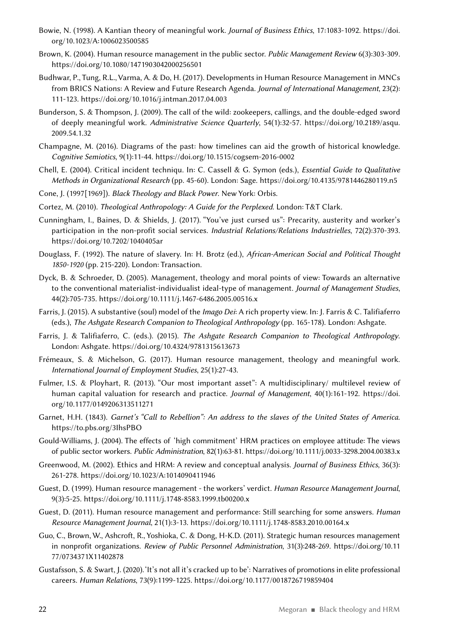- Bowie, N. (1998). A Kantian theory of meaningful work. *Journal of Business Ethics*, 17:1083-1092. [https://doi.](https://doi.org/10.1023/A:1006023500585) [org/10.1023/A:1006023500585](https://doi.org/10.1023/A:1006023500585)
- Brown, K. (2004). Human resource management in the public sector. *Public Management Review* 6(3):303-309. <https://doi.org/10.1080/1471903042000256501>
- Budhwar, P., Tung, R.L., Varma, A. & Do, H. (2017). Developments in Human Resource Management in MNCs from BRICS Nations: A Review and Future Research Agenda. *Journal of International Management*, 23(2): 111-123. <https://doi.org/10.1016/j.intman.2017.04.003>
- Bunderson, S. & Thompson, J. (2009). The call of the wild: zookeepers, callings, and the double-edged sword of deeply meaningful work. *Administrative Science Quarterly*, 54(1):32-57. [https://doi.org/10.2189/asqu.](https://doi.org/10.2189/asqu.2009.54.1.32) [2009.54.1.32](https://doi.org/10.2189/asqu.2009.54.1.32)
- Champagne, M. (2016). Diagrams of the past: how timelines can aid the growth of historical knowledge. *Cognitive Semiotics*, 9(1):11-44. <https://doi.org/10.1515/cogsem-2016-0002>
- Chell, E. (2004). Critical incident techniqu. In: C. Cassell & G. Symon (eds.), *Essential Guide to Qualitative Methods in Organizational Research* (pp. 45-60). London: Sage.<https://doi.org/10.4135/9781446280119.n5>
- Cone, J. (1997[1969]). *Black Theology and Black Power*. New York: Orbis.
- Cortez, M. (2010). *Theological Anthropology: A Guide for the Perplexed*. London: T&T Clark.
- Cunningham, I., Baines, D. & Shields, J. (2017). "You've just cursed us": Precarity, austerity and worker's participation in the non-profit social services. *Industrial Relations/Relations Industrielles*, 72(2):370-393. <https://doi.org/10.7202/1040405ar>
- Douglass, F. (1992). The nature of slavery. In: H. Brotz (ed.), *African-American Social and Political Thought*  1850-1920 (pp. 215-220). London: Transaction.
- Dyck, B. & Schroeder, D. (2005). Management, theology and moral points of view: Towards an alternative to the conventional materialist-individualist ideal-type of management. *Journal of Management Studies*, 44(2):705-735. <https://doi.org/10.1111/j.1467-6486.2005.00516.x>
- Farris, J. (2015). A substantive (soul) model of the *Imago Dei*: A rich property view. In: J. Farris & C. Talifiaferro (eds.), *The Ashgate Research Companion to Theological Anthropology* (pp. 165-178). London: Ashgate.
- Farris, J. & Talifiaferro, C. (eds.). (2015). *The Ashgate Research Companion to Theological Anthropology*. London: Ashgate.<https://doi.org/10.4324/9781315613673>
- Frémeaux, S. & Michelson, G. (2017). Human resource management, theology and meaningful work. *International Journal of Employment Studies*, 25(1):27-43.
- Fulmer, I.S. & Ployhart, R. (2013). "Our most important asset": A multidisciplinary/ multilevel review of human capital valuation for research and practice. *Journal of Management*, 40(1):161-192. [https://doi.](https://doi.org/10.1177/0149206313511271) [org/10.1177/0149206313511271](https://doi.org/10.1177/0149206313511271)
- Garnet, H.H. (1843). *Garnet's "Call to Rebellion": An address to the slaves of the United States of America*. <https://to.pbs.org/3IhsPBO>
- Gould-Williams, J. (2004). The effects of  'high commitment' HRM practices on employee attitude: The views of public sector workers. *Public Administration*, 82(1):63-81. <https://doi.org/10.1111/j.0033-3298.2004.00383.x>
- Greenwood, M. (2002). Ethics and HRM: A review and conceptual analysis. *Journal of Business Ethics*, 36(3): 261-278. <https://doi.org/10.1023/A:1014090411946>
- Guest, D. (1999). Human resource management the workers' verdict. *Human Resource Management Journal*, 9(3):5-25.<https://doi.org/10.1111/j.1748-8583.1999.tb00200.x>
- Guest, D. (2011). Human resource management and performance: Still searching for some answers. *Human Resource Management Journal*, 21(1):3-13.<https://doi.org/10.1111/j.1748-8583.2010.00164.x>
- Guo, C., Brown, W., Ashcroft, R., Yoshioka, C. & Dong, H-K.D. (2011). Strategic human resources management in nonprofit organizations. *Review of Public Personnel Administration*, 31(3):248-269. [https://doi.org/10.11](https://doi.org/10.1177/0734371X11402878) [77/0734371X11402878](https://doi.org/10.1177/0734371X11402878)
- Gustafsson, S. & Swart, J. (2020). 'It's not all it's cracked up to be': Narratives of promotions in elite professional careers. *Human Relations*, 73(9):1199-1225.<https://doi.org/10.1177/0018726719859404>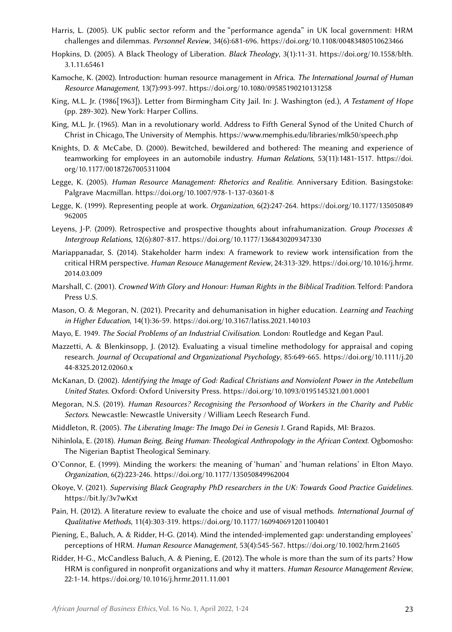- Harris, L. (2005). UK public sector reform and the "performance agenda" in UK local government: HRM challenges and dilemmas. *Personnel Review*, 34(6):681-696.<https://doi.org/10.1108/00483480510623466>
- Hopkins, D. (2005). A Black Theology of Liberation. *Black Theology*, 3(1):11-31. [https://doi.org/10.1558/blth.](https://doi.org/10.1558/blth.3.1.11.65461) [3.1.11.65461](https://doi.org/10.1558/blth.3.1.11.65461)
- Kamoche, K. (2002). Introduction: human resource management in Africa. *The International Journal of Human Resource Management*, 13(7):993-997. <https://doi.org/10.1080/09585190210131258>
- King, M.L. Jr. (1986[1963]). Letter from Birmingham City Jail. In: J. Washington (ed.), *A Testament of Hope* (pp. 289-302). New York: Harper Collins.
- King, M.L. Jr. (1965). Man in a revolutionary world. Address to Fifth General Synod of the United Church of Christ in Chicago, The University of Memphis. <https://www.memphis.edu/libraries/mlk50/speech.php>
- Knights, D. & McCabe, D. (2000). Bewitched, bewildered and bothered: The meaning and experience of teamworking for employees in an automobile industry. *Human Relations*, 53(11):1481-1517. [https://doi.](https://doi.org/10.1177/00187267005311004) [org/10.1177/00187267005311004](https://doi.org/10.1177/00187267005311004)
- Legge, K. (2005). *Human Resource Management: Rhetorics and Realitie*. Anniversary Edition. Basingstoke: Palgrave Macmillan. <https://doi.org/10.1007/978-1-137-03601-8>
- Legge, K. (1999). Representing people at work. *Organization*, 6(2):247-264. [https://doi.org/10.1177/135050849](https://doi.org/10.1177/135050849962005) [962005](https://doi.org/10.1177/135050849962005)
- Leyens, J-P. (2009). Retrospective and prospective thoughts about infrahumanization. *Group Processes & Intergroup Relations*, 12(6):807-817.<https://doi.org/10.1177/1368430209347330>
- Mariappanadar, S. (2014). Stakeholder harm index: A framework to review work intensification from the critical HRM perspective. *Human Resouce Management Review*, 24:313-329. [https://doi.org/10.1016/j.hrmr.](https://doi.org/10.1016/j.hrmr.2014.03.009) [2014.03.009](https://doi.org/10.1016/j.hrmr.2014.03.009)
- Marshall, C. (2001). *Crowned With Glory and Honour: Human Rights in the Biblical Tradition*. Telford: Pandora Press U.S.
- Mason, O. & Megoran, N. (2021). Precarity and dehumanisation in higher education. *Learning and Teaching in Higher Education*, 14(1):36-59.<https://doi.org/10.3167/latiss.2021.140103>
- Mayo, E. 1949. *The Social Problems of an Industrial Civilisation*. London: Routledge and Kegan Paul.
- Mazzetti, A. & Blenkinsopp, J. (2012). Evaluating a visual timeline methodology for appraisal and coping research. *Journal of Occupational and Organizational Psychology*, 85:649-665. [https://doi.org/10.1111/j.20](https://doi.org/10.1111/j.2044-8325.2012.02060.x) [44-8325.2012.02060.x](https://doi.org/10.1111/j.2044-8325.2012.02060.x)
- McKanan, D. (2002). *Identifying the Image of God: Radical Christians and Nonviolent Power in the Antebellum United States*. Oxford: Oxford University Press.<https://doi.org/10.1093/0195145321.001.0001>
- Megoran, N.S. (2019). *Human Resources? Recognising the Personhood of Workers in the Charity and Public Sectors*. Newcastle: Newcastle University / William Leech Research Fund.
- Middleton, R. (2005). *The Liberating Image: The Imago Dei in Genesis 1*. Grand Rapids, MI: Brazos.
- Nihinlola, E. (2018). *Human Being*, *Being Human: Theological Anthropology in the African Context*. Ogbomosho: The Nigerian Baptist Theological Seminary.
- O'Connor, E. (1999). Minding the workers: the meaning of 'human' and 'human relations' in Elton Mayo. *Organization*, 6(2):223-246.<https://doi.org/10.1177/135050849962004>
- Okoye, V. (2021). *Supervising Black Geography PhD researchers in the UK: Towards Good Practice Guidelines*. <https://bit.ly/3v7wKxt>
- Pain, H. (2012). A literature review to evaluate the choice and use of visual methods. *International Journal of Qualitative Methods*, 11(4):303-319.<https://doi.org/10.1177/160940691201100401>
- Piening, E., Baluch, A. & Ridder, H-G. (2014). Mind the intended-implemented gap: understanding employees' perceptions of HRM. *Human Resource Management*, 53(4):545-567.<https://doi.org/10.1002/hrm.21605>
- Ridder, H-G., McCandless Baluch, A. & Piening, E. (2012). The whole is more than the sum of its parts? How HRM is configured in nonprofit organizations and why it matters. *Human Resource Management Review*, 22:1-14. <https://doi.org/10.1016/j.hrmr.2011.11.001>